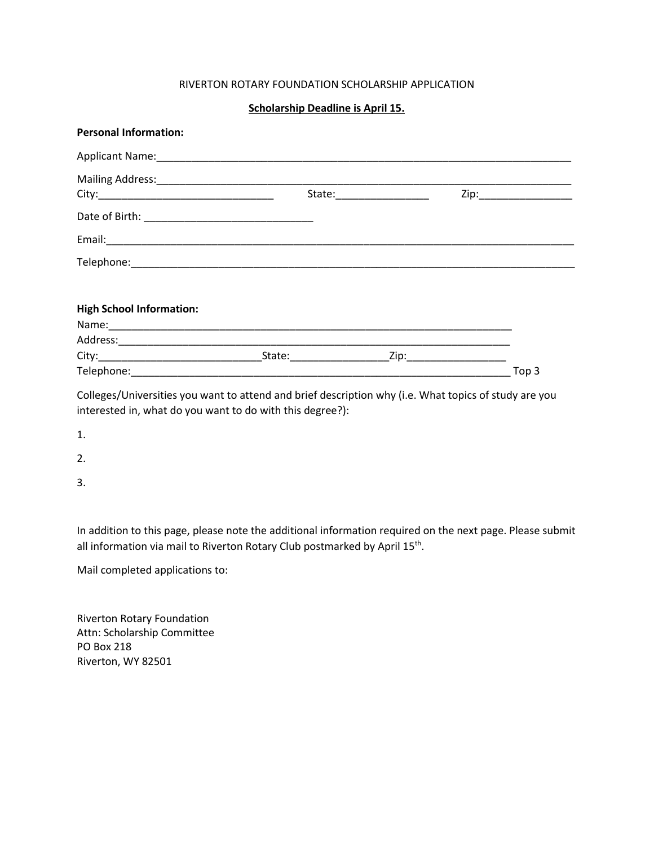## RIVERTON ROTARY FOUNDATION SCHOLARSHIP APPLICATION

## **Scholarship Deadline is April 15.**

|                                 |  | Zip:____________________ |
|---------------------------------|--|--------------------------|
|                                 |  |                          |
|                                 |  |                          |
|                                 |  |                          |
|                                 |  |                          |
| <b>High School Information:</b> |  |                          |
|                                 |  |                          |
|                                 |  |                          |
|                                 |  |                          |
|                                 |  | Top 3                    |

Colleges/Universities you want to attend and brief description why (i.e. What topics of study are you interested in, what do you want to do with this degree?):

- 1.
- 2.
- 3.

In addition to this page, please note the additional information required on the next page. Please submit all information via mail to Riverton Rotary Club postmarked by April 15<sup>th</sup>.

Mail completed applications to:

Riverton Rotary Foundation Attn: Scholarship Committee PO Box 218 Riverton, WY 82501